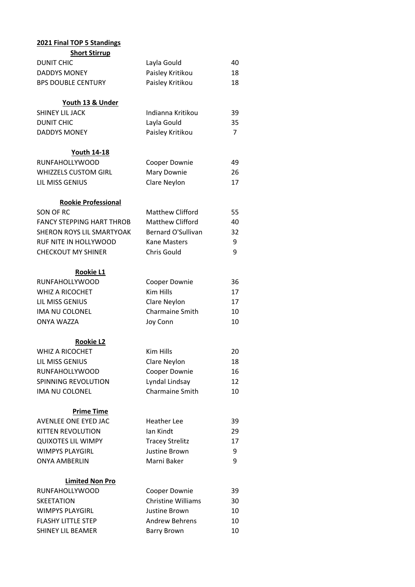| 2021 Final TOP 5 Standings       |                           |    |
|----------------------------------|---------------------------|----|
| <b>Short Stirrup</b>             |                           |    |
| <b>DUNIT CHIC</b>                | Layla Gould               | 40 |
| <b>DADDYS MONEY</b>              | Paisley Kritikou          | 18 |
| <b>BPS DOUBLE CENTURY</b>        | Paisley Kritikou          | 18 |
|                                  |                           |    |
| Youth 13 & Under                 |                           |    |
| SHINEY LIL JACK                  | Indianna Kritikou         | 39 |
| <b>DUNIT CHIC</b>                | Layla Gould               | 35 |
| <b>DADDYS MONEY</b>              | Paisley Kritikou          | 7  |
| <b>Youth 14-18</b>               |                           |    |
| RUNFAHOLLYWOOD                   | Cooper Downie             | 49 |
| <b>WHIZZELS CUSTOM GIRL</b>      | Mary Downie               | 26 |
| LIL MISS GENIUS                  | Clare Neylon              | 17 |
|                                  |                           |    |
| <b>Rookie Professional</b>       |                           |    |
| SON OF RC                        | <b>Matthew Clifford</b>   | 55 |
| <b>FANCY STEPPING HART THROB</b> | <b>Matthew Clifford</b>   | 40 |
| SHERON ROYS LIL SMARTYOAK        | <b>Bernard O'Sullivan</b> | 32 |
| RUF NITE IN HOLLYWOOD            | <b>Kane Masters</b>       | 9  |
| <b>CHECKOUT MY SHINER</b>        | <b>Chris Gould</b>        | 9  |
| Rookie L1                        |                           |    |
| <b>RUNFAHOLLYWOOD</b>            | Cooper Downie             | 36 |
| <b>WHIZ A RICOCHET</b>           | <b>Kim Hills</b>          | 17 |
| LIL MISS GENIUS                  | Clare Neylon              | 17 |
| IMA NU COLONEL                   | Charmaine Smith           | 10 |
| <b>ONYA WAZZA</b>                | Joy Conn                  | 10 |
|                                  |                           |    |
| <b>Rookie L2</b>                 |                           |    |
| WHIZ A RICOCHET                  | Kim Hills                 | 20 |
| LIL MISS GENIUS                  | Clare Neylon              | 18 |
| <b>RUNFAHOLLYWOOD</b>            | Cooper Downie             | 16 |
| SPINNING REVOLUTION              | Lyndal Lindsay            | 12 |
| IMA NU COLONEL                   | Charmaine Smith           | 10 |
| <b>Prime Time</b>                |                           |    |
| AVENLEE ONE EYED JAC             | <b>Heather Lee</b>        | 39 |
| KITTEN REVOLUTION                | Ian Kindt                 | 29 |
| <b>QUIXOTES LIL WIMPY</b>        | <b>Tracey Strelitz</b>    | 17 |
| <b>WIMPYS PLAYGIRL</b>           | Justine Brown             | 9  |
| <b>ONYA AMBERLIN</b>             | Marni Baker               | 9  |
|                                  |                           |    |
| <b>Limited Non Pro</b>           |                           |    |
| <b>RUNFAHOLLYWOOD</b>            | Cooper Downie             | 39 |
| <b>SKEETATION</b>                | <b>Christine Williams</b> | 30 |
| <b>WIMPYS PLAYGIRL</b>           | Justine Brown             | 10 |
| <b>FLASHY LITTLE STEP</b>        | <b>Andrew Behrens</b>     | 10 |
| <b>SHINEY LIL BEAMER</b>         | <b>Barry Brown</b>        | 10 |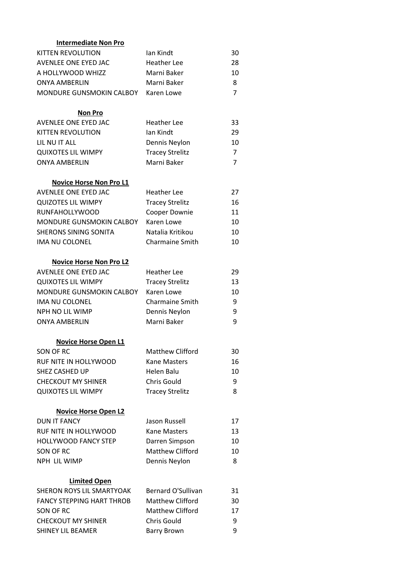| <b>Intermediate Non Pro</b>      |                           |                |
|----------------------------------|---------------------------|----------------|
| <b>KITTEN REVOLUTION</b>         | lan Kindt                 | 30             |
| AVENLEE ONE EYED JAC             | <b>Heather Lee</b>        | 28             |
| A HOLLYWOOD WHIZZ                | Marni Baker               | 10             |
| <b>ONYA AMBERLIN</b>             | Marni Baker               | 8              |
| MONDURE GUNSMOKIN CALBOY         | Karen Lowe                | 7              |
|                                  |                           |                |
| <b>Non Pro</b>                   |                           |                |
| AVENLEE ONE EYED JAC             | <b>Heather Lee</b>        | 33             |
| KITTEN REVOLUTION                | lan Kindt                 | 29             |
| LIL NU IT ALL                    | Dennis Neylon             | 10             |
| <b>QUIXOTES LIL WIMPY</b>        | <b>Tracey Strelitz</b>    | 7              |
| <b>ONYA AMBERLIN</b>             | Marni Baker               | $\overline{7}$ |
| <b>Novice Horse Non Pro L1</b>   |                           |                |
| AVENLEE ONE EYED JAC             | <b>Heather Lee</b>        | 27             |
| <b>QUIZOTES LIL WIMPY</b>        | <b>Tracey Strelitz</b>    | 16             |
| <b>RUNFAHOLLYWOOD</b>            | Cooper Downie             | 11             |
| MONDURE GUNSMOKIN CALBOY         | Karen Lowe                | 10             |
| <b>SHERONS SINING SONITA</b>     | Natalia Kritikou          | 10             |
| <b>IMA NU COLONEL</b>            | <b>Charmaine Smith</b>    | 10             |
|                                  |                           |                |
| <b>Novice Horse Non Pro L2</b>   |                           |                |
| AVENLEE ONE EYED JAC             | <b>Heather Lee</b>        | 29             |
| <b>QUIXOTES LIL WIMPY</b>        | <b>Tracey Strelitz</b>    | 13             |
| MONDURE GUNSMOKIN CALBOY         | Karen Lowe                | 10             |
| IMA NU COLONEL                   | <b>Charmaine Smith</b>    | 9              |
| NPH NO LIL WIMP                  | Dennis Neylon             | 9              |
| <b>ONYA AMBERLIN</b>             | Marni Baker               | 9              |
| <b>Novice Horse Open L1</b>      |                           |                |
| SON OF RC                        | Matthew Clifford          | 30             |
| <b>RUF NITE IN HOLLYWOOD</b>     | <b>Kane Masters</b>       | 16             |
| <b>SHEZ CASHED UP</b>            | Helen Balu                | 10             |
| <b>CHECKOUT MY SHINER</b>        | Chris Gould               | 9              |
| <b>QUIXOTES LIL WIMPY</b>        | <b>Tracey Strelitz</b>    | 8              |
|                                  |                           |                |
| <b>Novice Horse Open L2</b>      |                           |                |
| <b>DUN IT FANCY</b>              | Jason Russell             | 17             |
| RUF NITE IN HOLLYWOOD            | <b>Kane Masters</b>       | 13             |
| <b>HOLLYWOOD FANCY STEP</b>      | Darren Simpson            | 10             |
| SON OF RC                        | Matthew Clifford          | 10             |
| NPH LIL WIMP                     | Dennis Neylon             | 8              |
| <b>Limited Open</b>              |                           |                |
| SHERON ROYS LIL SMARTYOAK        | <b>Bernard O'Sullivan</b> | 31             |
| <b>FANCY STEPPING HART THROB</b> | <b>Matthew Clifford</b>   | 30             |
| SON OF RC                        | Matthew Clifford          | 17             |
| <b>CHECKOUT MY SHINER</b>        | Chris Gould               | 9              |
| <b>SHINEY LIL BEAMER</b>         | <b>Barry Brown</b>        | 9              |
|                                  |                           |                |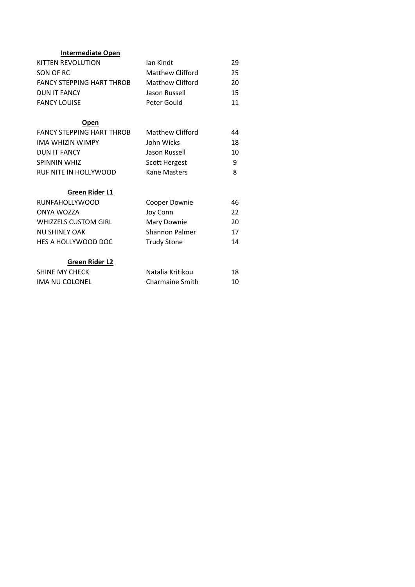| <b>Intermediate Open</b>         |                        |    |
|----------------------------------|------------------------|----|
| KITTEN REVOLUTION                | lan Kindt              | 29 |
| SON OF RC                        | Matthew Clifford       | 25 |
| <b>FANCY STEPPING HART THROB</b> | Matthew Clifford       | 20 |
| DUN IT FANCY                     | Jason Russell          | 15 |
| <b>FANCY LOUISE</b>              | Peter Gould            | 11 |
| Open                             |                        |    |
| <b>FANCY STEPPING HART THROB</b> | Matthew Clifford       | 44 |
| <b>IMA WHIZIN WIMPY</b>          | John Wicks             | 18 |
| <b>DUN IT FANCY</b>              | Jason Russell          | 10 |
| <b>SPINNIN WHIZ</b>              | <b>Scott Hergest</b>   | 9  |
| RUF NITE IN HOLLYWOOD            | Kane Masters           | 8  |
| Green Rider L1                   |                        |    |
| <b>RUNFAHOLLYWOOD</b>            | Cooper Downie          | 46 |
| ONYA WOZZA                       | Joy Conn               | 22 |
| <b>WHIZZELS CUSTOM GIRL</b>      | Mary Downie            | 20 |
| <b>NU SHINEY OAK</b>             | Shannon Palmer         | 17 |
| HES A HOLLYWOOD DOC              | <b>Trudy Stone</b>     | 14 |
| <b>Green Rider L2</b>            |                        |    |
| <b>SHINE MY CHECK</b>            | Natalia Kritikou       | 18 |
| <b>IMA NU COLONEL</b>            | <b>Charmaine Smith</b> | 10 |